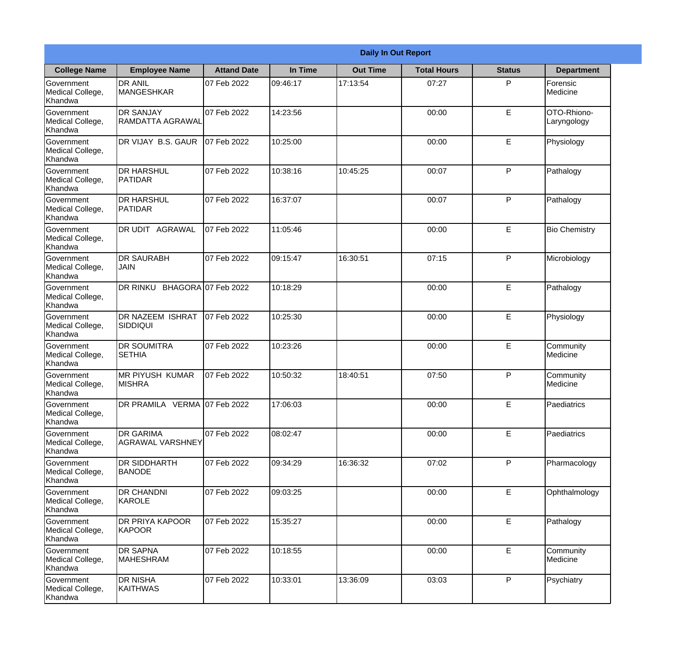|                                                  | <b>Daily In Out Report</b>               |                    |          |                 |                    |               |                            |  |
|--------------------------------------------------|------------------------------------------|--------------------|----------|-----------------|--------------------|---------------|----------------------------|--|
| <b>College Name</b>                              | <b>Employee Name</b>                     | <b>Attand Date</b> | In Time  | <b>Out Time</b> | <b>Total Hours</b> | <b>Status</b> | <b>Department</b>          |  |
| Government<br>Medical College,<br>Khandwa        | <b>DR ANIL</b><br>MANGESHKAR             | 07 Feb 2022        | 09:46:17 | 17:13:54        | 07:27              | P             | Forensic<br>Medicine       |  |
| Government<br>Medical College,<br>Khandwa        | <b>DR SANJAY</b><br>RAMDATTA AGRAWAL     | 07 Feb 2022        | 14:23:56 |                 | 00:00              | $\mathsf E$   | OTO-Rhiono-<br>Laryngology |  |
| <b>Government</b><br>Medical College,<br>Khandwa | <b>IDR VIJAY B.S. GAUR</b>               | 07 Feb 2022        | 10:25:00 |                 | 00:00              | E             | Physiology                 |  |
| <b>Government</b><br>Medical College,<br>Khandwa | <b>DR HARSHUL</b><br>PATIDAR             | 07 Feb 2022        | 10:38:16 | 10:45:25        | 00:07              | P             | Pathalogy                  |  |
| Government<br>Medical College,<br>Khandwa        | <b>IDR HARSHUL</b><br>PATIDAR            | 07 Feb 2022        | 16:37:07 |                 | 00:07              | P             | Pathalogy                  |  |
| Government<br>Medical College,<br>Khandwa        | DR UDIT AGRAWAL                          | 07 Feb 2022        | 11:05:46 |                 | 00:00              | $\mathsf E$   | <b>Bio Chemistry</b>       |  |
| <b>Government</b><br>Medical College,<br>Khandwa | <b>IDR SAURABH</b><br><b>JAIN</b>        | 07 Feb 2022        | 09:15:47 | 16:30:51        | 07:15              | P             | Microbiology               |  |
| <b>Government</b><br>Medical College,<br>Khandwa | DR RINKU BHAGORA 07 Feb 2022             |                    | 10:18:29 |                 | 00:00              | E             | Pathalogy                  |  |
| Government<br>Medical College,<br>Khandwa        | <b>DR NAZEEM ISHRAT</b><br> SIDDIQUI     | 07 Feb 2022        | 10:25:30 |                 | 00:00              | E             | Physiology                 |  |
| Government<br>Medical College,<br>Khandwa        | <b>DR SOUMITRA</b><br><b>SETHIA</b>      | 07 Feb 2022        | 10:23:26 |                 | 00:00              | E             | Community<br>Medicine      |  |
| Government<br>Medical College,<br>Khandwa        | <b>IMR PIYUSH KUMAR</b><br><b>MISHRA</b> | 07 Feb 2022        | 10:50:32 | 18:40:51        | 07:50              | P             | Community<br>Medicine      |  |
| Government<br>Medical College,<br>Khandwa        | DR PRAMILA VERMA 07 Feb 2022             |                    | 17:06:03 |                 | 00:00              | E             | Paediatrics                |  |
| Government<br>Medical College,<br>Khandwa        | <b>DR GARIMA</b><br>AGRAWAL VARSHNEY     | 07 Feb 2022        | 08:02:47 |                 | 00:00              | E             | Paediatrics                |  |
| Government<br>Medical College,<br>Khandwa        | <b>DR SIDDHARTH</b><br><b>BANODE</b>     | 07 Feb 2022        | 09:34:29 | 16:36:32        | 07:02              | P             | Pharmacology               |  |
| Government<br>Medical College,<br>Khandwa        | <b>DR CHANDNI</b><br>KAROLE              | 07 Feb 2022        | 09:03:25 |                 | 00:00              | E             | Ophthalmology              |  |
| Government<br>Medical College,<br>Khandwa        | <b>DR PRIYA KAPOOR</b><br>KAPOOR         | 07 Feb 2022        | 15:35:27 |                 | 00:00              | E             | Pathalogy                  |  |
| Government<br>Medical College,<br>Khandwa        | <b>DR SAPNA</b><br><b>MAHESHRAM</b>      | 07 Feb 2022        | 10:18:55 |                 | 00:00              | E             | Community<br>Medicine      |  |
| Government<br>Medical College,<br>Khandwa        | <b>DR NISHA</b><br>KAITHWAS              | 07 Feb 2022        | 10:33:01 | 13:36:09        | 03:03              | P             | Psychiatry                 |  |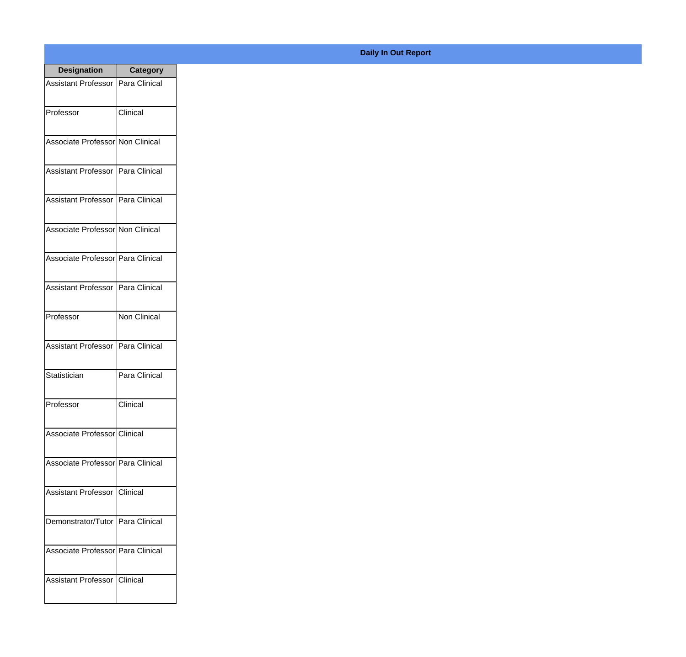| <b>Designation</b>                  | <b>Category</b>     |
|-------------------------------------|---------------------|
| Assistant Professor   Para Clinical |                     |
| Professor                           | Clinical            |
| Associate Professor Non Clinical    |                     |
| Assistant Professor   Para Clinical |                     |
| Assistant Professor   Para Clinical |                     |
| Associate Professor Non Clinical    |                     |
| Associate Professor   Para Clinical |                     |
| Assistant Professor   Para Clinical |                     |
| Professor                           | <b>Non Clinical</b> |
| <b>Assistant Professor</b>          | Para Clinical       |
| Statistician                        | Para Clinical       |
| Professor                           | Clinical            |
| Associate Professor Clinical        |                     |
| Associate Professor   Para Clinical |                     |
| Assistant Professor   Clinical      |                     |
| Demonstrator/Tutor   Para Clinical  |                     |
| Associate Professor   Para Clinical |                     |
| Assistant Professor   Clinical      |                     |

## **Daily In Out Report**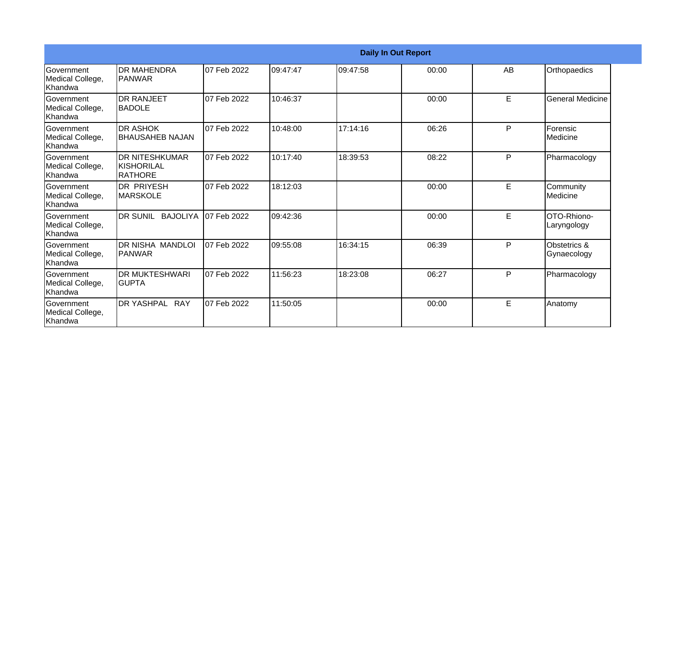| <b>Daily In Out Report</b>                       |                                                        |             |          |           |       |    |                             |
|--------------------------------------------------|--------------------------------------------------------|-------------|----------|-----------|-------|----|-----------------------------|
| Government<br>Medical College,<br>Khandwa        | <b>DR MAHENDRA</b><br>IPANWAR                          | 07 Feb 2022 | 09:47:47 | 109:47:58 | 00:00 | AB | Orthopaedics                |
| <b>Government</b><br>Medical College,<br>Khandwa | <b>DR RANJEET</b><br><b>IBADOLE</b>                    | 07 Feb 2022 | 10:46:37 |           | 00:00 | E  | <b>General Medicine</b>     |
| <b>Government</b><br>Medical College,<br>Khandwa | <b>IDR ASHOK</b><br><b>BHAUSAHEB NAJAN</b>             | 07 Feb 2022 | 10:48:00 | 17:14:16  | 06:26 | P  | Forensic<br>Medicine        |
| Government<br>Medical College,<br>Khandwa        | <b>DR NITESHKUMAR</b><br>IKISHORILAL<br><b>RATHORE</b> | 07 Feb 2022 | 10:17:40 | 18:39:53  | 08:22 | P  | Pharmacology                |
| Government<br>Medical College,<br>Khandwa        | <b>DR PRIYESH</b><br><b>MARSKOLE</b>                   | 07 Feb 2022 | 18:12:03 |           | 00:00 | E  | Community<br>Medicine       |
| Government<br>Medical College,<br>Khandwa        | DR SUNIL BAJOLIYA                                      | 07 Feb 2022 | 09:42:36 |           | 00:00 | E  | OTO-Rhiono-<br>Laryngology  |
| <b>Government</b><br>Medical College,<br>Khandwa | <b>DR NISHA MANDLOI</b><br><b>IPANWAR</b>              | 07 Feb 2022 | 09:55:08 | 16:34:15  | 06:39 | P  | Obstetrics &<br>Gynaecology |
| Government<br>Medical College,<br><b>Khandwa</b> | <b>DR MUKTESHWARI</b><br><b>GUPTA</b>                  | 07 Feb 2022 | 11:56:23 | 18:23:08  | 06:27 | P  | Pharmacology                |
| Government<br>Medical College,<br>Khandwa        | <b>DR YASHPAL RAY</b>                                  | 07 Feb 2022 | 11:50:05 |           | 00:00 | E  | Anatomy                     |